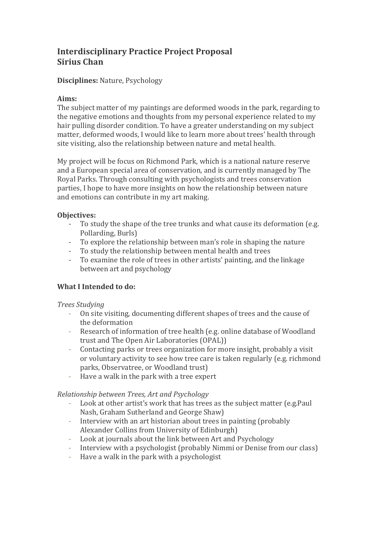# **Interdisciplinary Practice Project Proposal Sirius Chan**

# **Disciplines:** Nature, Psychology

## Aims:

The subject matter of my paintings are deformed woods in the park, regarding to the negative emotions and thoughts from my personal experience related to my hair pulling disorder condition. To have a greater understanding on my subject matter, deformed woods, I would like to learn more about trees' health through site visiting, also the relationship between nature and metal health.

My project will be focus on Richmond Park, which is a national nature reserve and a European special area of conservation, and is currently managed by The Royal Parks. Through consulting with psychologists and trees conservation parties, I hope to have more insights on how the relationship between nature and emotions can contribute in my art making.

## **Objectives:**

- To study the shape of the tree trunks and what cause its deformation (e.g. Pollarding, Burls)
- To explore the relationship between man's role in shaping the nature
- To study the relationship between mental health and trees
- To examine the role of trees in other artists' painting, and the linkage between art and psychology

# **What I Intended to do:**

## *Trees Studying*

- On site visiting, documenting different shapes of trees and the cause of the deformation
- Research of information of tree health (e.g. online database of Woodland trust and The Open Air Laboratories (OPAL))
- Contacting parks or trees organization for more insight, probably a visit or voluntary activity to see how tree care is taken regularly (e.g. richmond parks, Observatree, or Woodland trust)
- Have a walk in the park with a tree expert

## *Relationship between Trees, Art and Psychology*

- Look at other artist's work that has trees as the subject matter (e.g.Paul Nash, Graham Sutherland and George Shaw)
- Interview with an art historian about trees in painting (probably Alexander Collins from University of Edinburgh)
- Look at journals about the link between Art and Psychology
- Interview with a psychologist (probably Nimmi or Denise from our class)
- Have a walk in the park with a psychologist